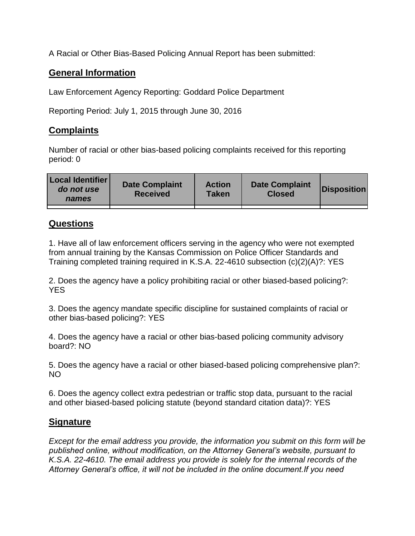A Racial or Other Bias-Based Policing Annual Report has been submitted:

## **General Information**

Law Enforcement Agency Reporting: Goddard Police Department

Reporting Period: July 1, 2015 through June 30, 2016

## **Complaints**

Number of racial or other bias-based policing complaints received for this reporting period: 0

| <b>Local Identifier</b><br>do not use<br>names | <b>Date Complaint</b><br><b>Received</b> | <b>Action</b><br><b>Taken</b> | <b>Date Complaint</b><br><b>Closed</b> | Disposition |
|------------------------------------------------|------------------------------------------|-------------------------------|----------------------------------------|-------------|
|                                                |                                          |                               |                                        |             |

## **Questions**

1. Have all of law enforcement officers serving in the agency who were not exempted from annual training by the Kansas Commission on Police Officer Standards and Training completed training required in K.S.A. 22-4610 subsection (c)(2)(A)?: YES

2. Does the agency have a policy prohibiting racial or other biased-based policing?: YES

3. Does the agency mandate specific discipline for sustained complaints of racial or other bias-based policing?: YES

4. Does the agency have a racial or other bias-based policing community advisory board?: NO

5. Does the agency have a racial or other biased-based policing comprehensive plan?: NO

6. Does the agency collect extra pedestrian or traffic stop data, pursuant to the racial and other biased-based policing statute (beyond standard citation data)?: YES

## **Signature**

*Except for the email address you provide, the information you submit on this form will be published online, without modification, on the Attorney General's website, pursuant to K.S.A. 22-4610. The email address you provide is solely for the internal records of the Attorney General's office, it will not be included in the online document.If you need*